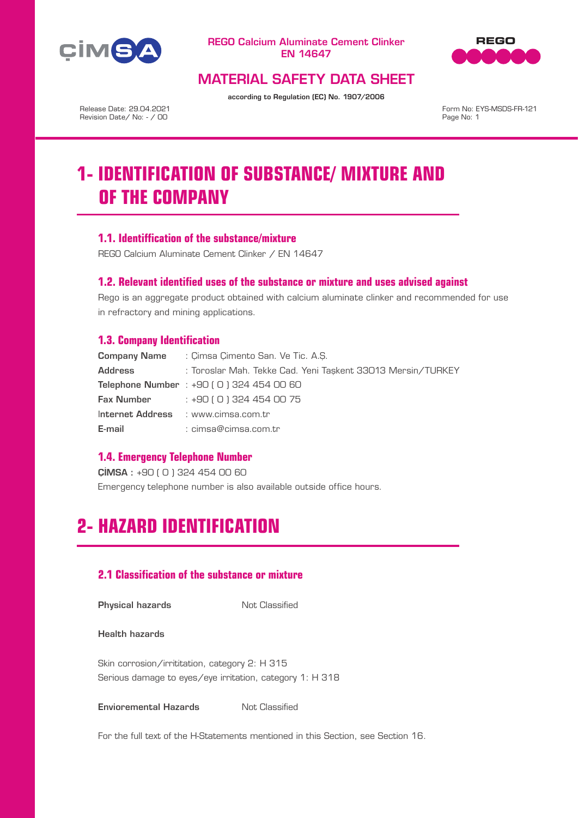



# MATERIAL SAFETY DATA SHEET

according to Regulation (EC) No. 1907/2006

Release Date: 29.04.2021 Revision Date/ No: - / 00

Form No: EYS-MSDS-FR-121 Page No: 1

# **1- IDENTIFICATION OF SUBSTANCE/ MIXTURE AND OF THE COMPANY**

## **1.1. Identiffication of the substance/mixture**

REGO Calcium Aluminate Cement Clinker / EN 14647

## **1.2. Relevant identified uses of the substance or mixture and uses advised against**

Rego is an aggregate product obtained with calcium aluminate clinker and recommended for use in refractory and mining applications.

### **1.3. Company Identification**

| Company Name | : Cimsa Cimento San. Ve Tic. A.S.                           |
|--------------|-------------------------------------------------------------|
| Address      | : Toroslar Mah. Tekke Cad. Yeni Taşkent 33013 Mersin/TURKEY |
|              | Telephone Number : +90 (0) 324 454 00 60                    |
|              | <b>Fax Number</b> : $+90(0)3244540075$                      |
|              | Internet Address : www.cimsa.com.tr                         |
| E-mail       | : cimsa@cimsa.com.tr                                        |

### **1.4. Emergency Telephone Number**

ÇİMSA : +90 ( 0 ) 324 454 00 60 Emergency telephone number is also available outside office hours.

# **2- HAZARD IDENTIFICATION**

# **2.1 Classification of the substance or mixture**

**Physical hazards** Not Classified

Health hazards

Skin corrosion/irrititation, category 2: H 315 Serious damage to eyes/eye irritation, category 1: H 318

**Envioremental Hazards** Not Classified

For the full text of the H-Statements mentioned in this Section, see Section 16.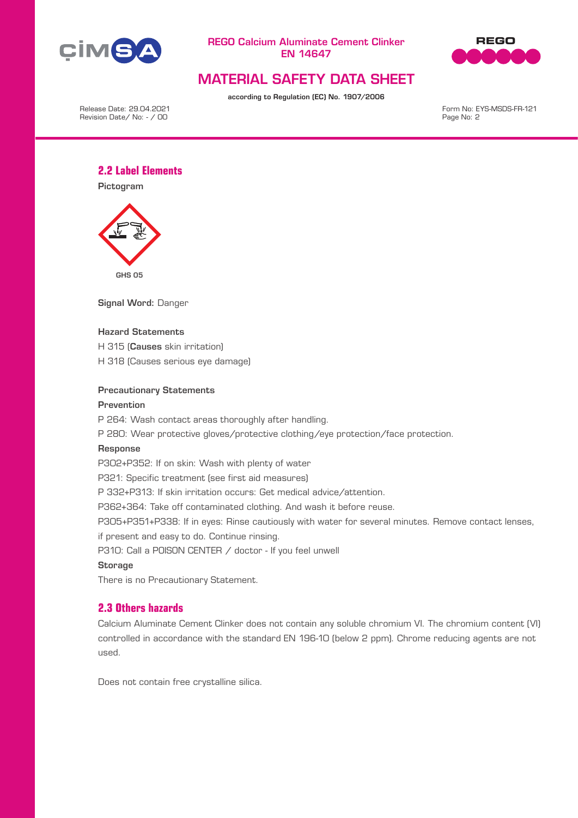



# MATERIAL SAFETY DATA SHEET

according to Regulation (EC) No. 1907/2006

Release Date: 29.04.2021 Revision Date/ No: - / 00

Form No: EYS-MSDS-FR-121 Page No: 2

## **2.2 Label Elements**

Pictogram



Signal Word: Danger

### Hazard Statements

H 315 (Causes skin irritation)

H 318 (Causes serious eye damage)

### Precautionary Statements

#### Prevention

P 264: Wash contact areas thoroughly after handling.

P 280: Wear protective gloves/protective clothing/eye protection/face protection.

#### Response

P302+P352: If on skin: Wash with plenty of water

P321: Specific treatment (see first aid measures)

P 332+P313: If skin irritation occurs: Get medical advice/attention.

P362+364: Take off contaminated clothing. And wash it before reuse.

P305+P351+P338: If in eyes: Rinse cautiously with water for several minutes. Remove contact lenses,

if present and easy to do. Continue rinsing.

P310: Call a POISON CENTER / doctor - If you feel unwell

#### **Storage**

There is no Precautionary Statement.

# **2.3 Others hazards**

Calcium Aluminate Cement Clinker does not contain any soluble chromium VI. The chromium content (VI) controlled in accordance with the standard EN 196-10 (below 2 ppm). Chrome reducing agents are not used.

Does not contain free crystalline silica.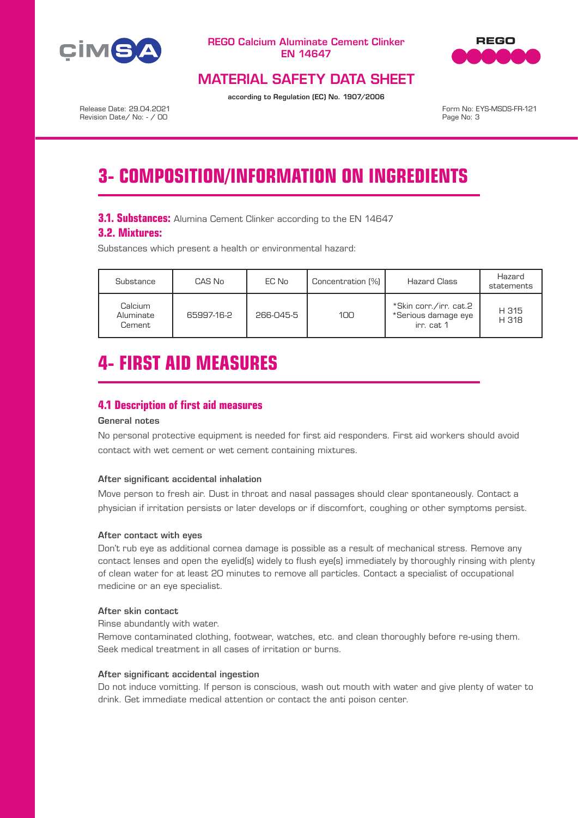



# MATERIAL SAFETY DATA SHEET

according to Regulation (EC) No. 1907/2006

Release Date: 29.04.2021 Revision Date/ No: - / 00

Form No: EYS-MSDS-FR-121 Page No: 3

# **3- COMPOSITION/INFORMATION ON INGREDIENTS**

## **3.1. Substances:** Alumina Cement Clinker according to the EN 14647

## **3.2. Mixtures:**

Substances which present a health or environmental hazard:

| Substance                      | CAS No     | EC No     | Concentration [%] | Hazard Class                                                | Hazard<br>statements |
|--------------------------------|------------|-----------|-------------------|-------------------------------------------------------------|----------------------|
| Calcium<br>Aluminate<br>Cement | 65997-16-2 | 266-045-5 | 100 <sub>1</sub>  | *Skin corr./irr. cat.2<br>*Serious damage eye<br>irr. cat 1 | H 315<br>H 318       |

# **4- FIRST AID MEASURES**

# **4.1 Description of first aid measures**

## General notes

No personal protective equipment is needed for first aid responders. First aid workers should avoid contact with wet cement or wet cement containing mixtures.

### After significant accidental inhalation

Move person to fresh air. Dust in throat and nasal passages should clear spontaneously. Contact a physician if irritation persists or later develops or if discomfort, coughing or other symptoms persist.

### After contact with eyes

Don't rub eye as additional cornea damage is possible as a result of mechanical stress. Remove any contact lenses and open the eyelid(s) widely to flush eye(s) immediately by thoroughly rinsing with plenty of clean water for at least 20 minutes to remove all particles. Contact a specialist of occupational medicine or an eye specialist.

### After skin contact

Rinse abundantly with water.

Remove contaminated clothing, footwear, watches, etc. and clean thoroughly before re-using them. Seek medical treatment in all cases of irritation or burns.

### After significant accidental ingestion

Do not induce vomitting. If person is conscious, wash out mouth with water and give plenty of water to drink. Get immediate medical attention or contact the anti poison center.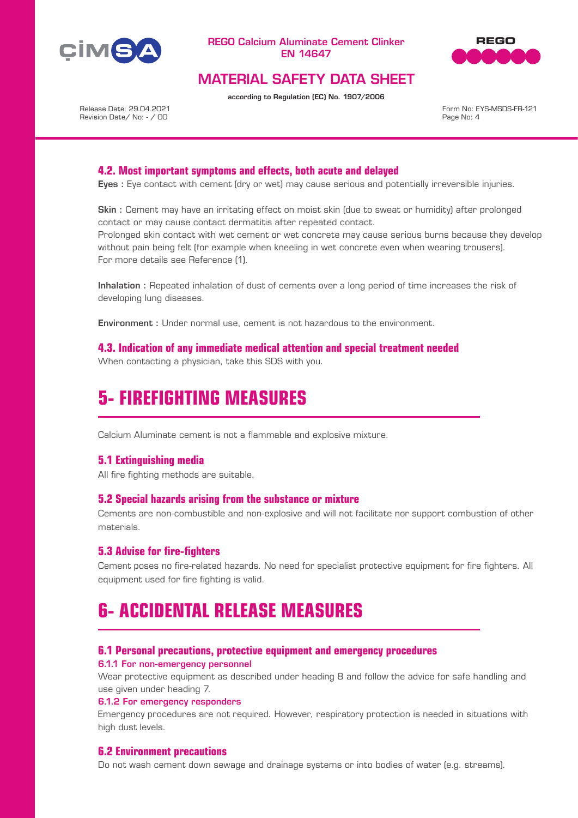



# MATERIAL SAFETY DATA SHEET

according to Regulation (EC) No. 1907/2006

Release Date: 29.04.2021 Revision Date/ No: - / 00

Form No: EYS-MSDS-FR-121 Page No: 4

## **4.2. Most important symptoms and effects, both acute and delayed**

Eyes : Eye contact with cement (dry or wet) may cause serious and potentially irreversible injuries.

Skin : Cement may have an irritating effect on moist skin (due to sweat or humidity) after prolonged contact or may cause contact dermatitis after repeated contact.

Prolonged skin contact with wet cement or wet concrete may cause serious burns because they develop without pain being felt (for example when kneeling in wet concrete even when wearing trousers). For more details see Reference (1).

Inhalation : Repeated inhalation of dust of cements over a long period of time increases the risk of developing lung diseases.

Environment : Under normal use, cement is not hazardous to the environment.

**4.3. Indication of any immediate medical attention and special treatment needed** When contacting a physician, take this SDS with you.

# **5- FIREFIGHTING MEASURES**

Calcium Aluminate cement is not a flammable and explosive mixture.

### **5.1 Extinguishing media**

All fire fighting methods are suitable.

### **5.2 Special hazards arising from the substance or mixture**

Cements are non-combustible and non-explosive and will not facilitate nor support combustion of other materials.

### **5.3 Advise for fire-fighters**

Cement poses no fire-related hazards. No need for specialist protective equipment for fire fighters. All equipment used for fire fighting is valid.

# **6- ACCIDENTAL RELEASE MEASURES**

### **6.1 Personal precautions, protective equipment and emergency procedures**

6.1.1 For non-emergency personnel

Wear protective equipment as described under heading 8 and follow the advice for safe handling and use given under heading 7.

#### 6.1.2 For emergency responders

Emergency procedures are not required. However, respiratory protection is needed in situations with high dust levels.

### **6.2 Environment precautions**

Do not wash cement down sewage and drainage systems or into bodies of water (e.g. streams).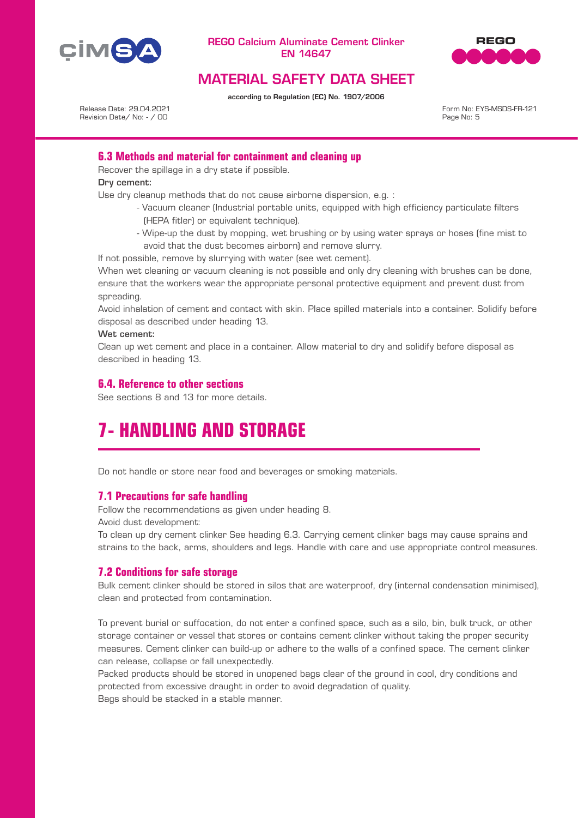



# MATERIAL SAFETY DATA SHEET

according to Regulation (EC) No. 1907/2006

Release Date: 29.04.2021 Revision Date/ No: - / 00

Form No: EYS-MSDS-FR-121 Page No: 5

# **6.3 Methods and material for containment and cleaning up**

Recover the spillage in a dry state if possible.

Dry cement:

Use dry cleanup methods that do not cause airborne dispersion, e.g. :

- Vacuum cleaner (Industrial portable units, equipped with high efficiency particulate filters (HEPA fitler) or equivalent technique).
- Wipe-up the dust by mopping, wet brushing or by using water sprays or hoses (fine mist to avoid that the dust becomes airborn) and remove slurry.

If not possible, remove by slurrying with water (see wet cement).

When wet cleaning or vacuum cleaning is not possible and only dry cleaning with brushes can be done, ensure that the workers wear the appropriate personal protective equipment and prevent dust from spreading.

Avoid inhalation of cement and contact with skin. Place spilled materials into a container. Solidify before disposal as described under heading 13.

Wet cement:

Clean up wet cement and place in a container. Allow material to dry and solidify before disposal as described in heading 13.

# **6.4. Reference to other sections**

See sections 8 and 13 for more details.

# **7- HANDLING AND STORAGE**

Do not handle or store near food and beverages or smoking materials.

# **7.1 Precautions for safe handling**

Follow the recommendations as given under heading 8. Avoid dust development:

To clean up dry cement clinker See heading 6.3. Carrying cement clinker bags may cause sprains and strains to the back, arms, shoulders and legs. Handle with care and use appropriate control measures.

### **7.2 Conditions for safe storage**

Bulk cement clinker should be stored in silos that are waterproof, dry (internal condensation minimised), clean and protected from contamination.

To prevent burial or suffocation, do not enter a confined space, such as a silo, bin, bulk truck, or other storage container or vessel that stores or contains cement clinker without taking the proper security measures. Cement clinker can build-up or adhere to the walls of a confined space. The cement clinker can release, collapse or fall unexpectedly.

Packed products should be stored in unopened bags clear of the ground in cool, dry conditions and protected from excessive draught in order to avoid degradation of quality. Bags should be stacked in a stable manner.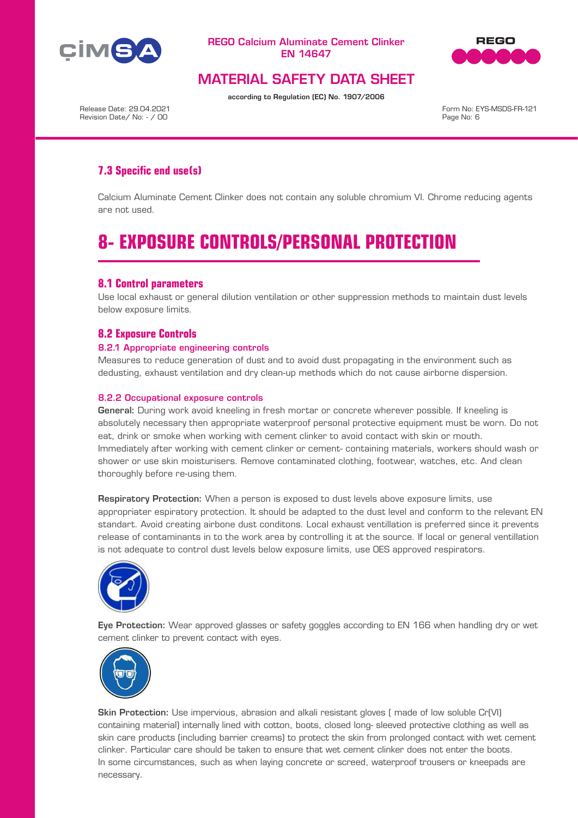



# MATERIAL SAFETY DATA SHEET

according to Regulation (EC) No. 1907/2006

Release Date: 29.04.2021 Revision Date/ No: - / 00

Form No: EYS-MSDS-FR-121 Page No: 6

# **7.3 Specific end use(s)**

Calcium Aluminate Cement Clinker does not contain any soluble chromium VI. Chrome reducing agents are not used.

# **8- EXPOSURE CONTROLS/PERSONAL PROTECTION**

## **8.1 Control parameters**

Use local exhaust or general dilution ventilation or other suppression methods to maintain dust levels below exposure limits.

## **8.2 Exposure Controls**

### 8.2.1 Appropriate engineering controls

Measures to reduce generation of dust and to avoid dust propagating in the environment such as dedusting, exhaust ventilation and dry clean-up methods which do not cause airborne dispersion.

### 8.2.2 Occupational exposure controls

General: During work avoid kneeling in fresh mortar or concrete wherever possible. If kneeling is absolutely necessary then appropriate waterproof personal protective equipment must be worn. Do not eat, drink or smoke when working with cement clinker to avoid contact with skin or mouth. Immediately after working with cement clinker or cement- containing materials, workers should wash or shower or use skin moisturisers. Remove contaminated clothing, footwear, watches, etc. And clean thoroughly before re-using them.

Respiratory Protection: When a person is exposed to dust levels above exposure limits, use appropriater espiratory protection. It should be adapted to the dust level and conform to the relevant EN standart. Avoid creating airbone dust conditons. Local exhaust ventillation is preferred since it prevents release of contaminants in to the work area by controlling it at the source. If local or general ventillation is not adequate to control dust levels below exposure limits, use OES approved respirators.



Eye Protection: Wear approved glasses or safety goggles according to EN 166 when handling dry or wet cement clinker to prevent contact with eyes.



Skin Protection: Use impervious, abrasion and alkali resistant gloves ( made of low soluble Cr(VI) containing material) internally lined with cotton, boots, closed long- sleeved protective clothing as well as skin care products (including barrier creams) to protect the skin from prolonged contact with wet cement clinker. Particular care should be taken to ensure that wet cement clinker does not enter the boots. In some circumstances, such as when laying concrete or screed, waterproof trousers or kneepads are necessary.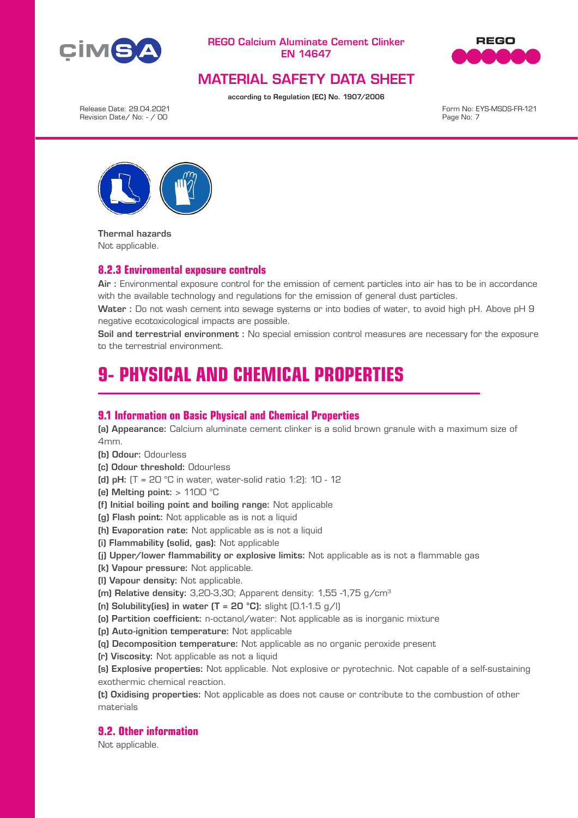



# MATERIAL SAFETY DATA SHEET

according to Regulation (EC) No. 1907/2006

Release Date: 29.04.2021 Revision Date/ No: - / 00

Form No: EYS-MSDS-FR-121 Page No: 7



Thermal hazards Not applicable.

### **8.2.3 Enviromental exposure controls**

Air : Environmental exposure control for the emission of cement particles into air has to be in accordance with the available technology and regulations for the emission of general dust particles.

Water : Do not wash cement into sewage systems or into bodies of water, to avoid high pH. Above pH 9 negative ecotoxicological impacts are possible.

Soil and terrestrial environment : No special emission control measures are necessary for the exposure to the terrestrial environment.

# **9- PHYSICAL AND CHEMICAL PROPERTIES**

### **9.1 Information on Basic Physical and Chemical Properties**

(a) Appearance: Calcium aluminate cement clinker is a solid brown granule with a maximum size of 4mm.

- (b) Odour: Odourless
- (c) Odour threshold: Odourless
- (d) pH:  $(T = 20 °C)$  in water, water-solid ratio 1:2):  $10 12$
- (e) Melting point: > 1100 °C
- (f) Initial boiling point and boiling range: Not applicable
- (g) Flash point: Not applicable as is not a liquid
- (h) Evaporation rate: Not applicable as is not a liquid
- (i) Flammability (solid, gas): Not applicable
- (j) Upper/lower flammability or explosive limits: Not applicable as is not a flammable gas
- (k) Vapour pressure: Not applicable.
- (l) Vapour density: Not applicable.
- (m) Relative density:  $3,20-3,30$ ; Apparent density:  $1,55$  -1,75 g/cm<sup>3</sup>
- (n) Solubility(ies) in water  $(T = 20 °C)$ : slight  $(0.1-1.5 g/l)$
- (o) Partition coefficient: n-octanol/water: Not applicable as is inorganic mixture
- (p) Auto-ignition temperature: Not applicable
- (q) Decomposition temperature: Not applicable as no organic peroxide present
- (r) Viscosity: Not applicable as not a liquid

(s) Explosive properties: Not applicable. Not explosive or pyrotechnic. Not capable of a self-sustaining exothermic chemical reaction.

(t) Oxidising properties: Not applicable as does not cause or contribute to the combustion of other materials

## **9.2. Other information**

Not applicable.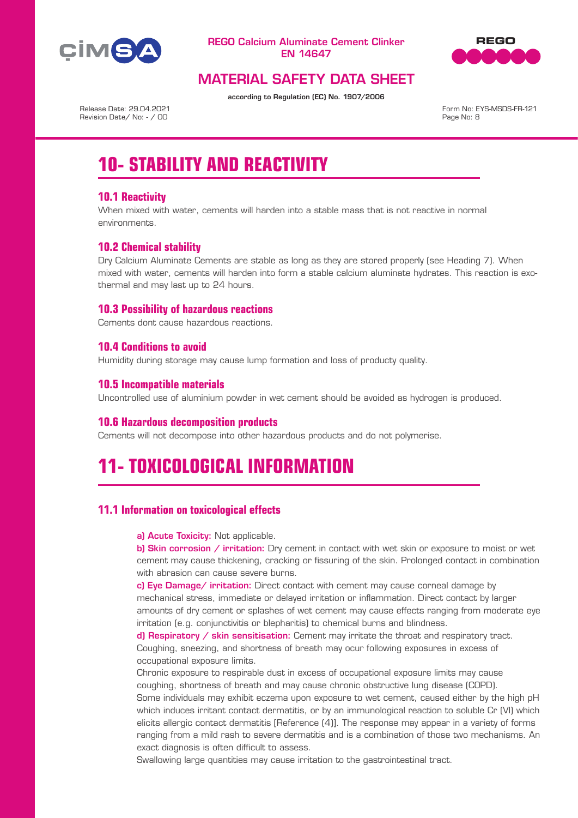



# MATERIAL SAFETY DATA SHEET

according to Regulation (EC) No. 1907/2006

Release Date: 29.04.2021 Revision Date/ No: - / 00

Form No: EYS-MSDS-FR-121 Page No: 8

# **10- STABILITY AND REACTIVITY**

# **10.1 Reactivity**

When mixed with water, cements will harden into a stable mass that is not reactive in normal environments.

# **10.2 Chemical stability**

Dry Calcium Aluminate Cements are stable as long as they are stored properly (see Heading 7). When mixed with water, cements will harden into form a stable calcium aluminate hydrates. This reaction is exothermal and may last up to 24 hours.

# **10.3 Possibility of hazardous reactions**

Cements dont cause hazardous reactions.

# **10.4 Conditions to avoid**

Humidity during storage may cause lump formation and loss of producty quality.

## **10.5 Incompatible materials**

Uncontrolled use of aluminium powder in wet cement should be avoided as hydrogen is produced.

### **10.6 Hazardous decomposition products**

Cements will not decompose into other hazardous products and do not polymerise.

# **11- TOXICOLOGICAL INFORMATION**

# **11.1 Information on toxicological effects**

a) Acute Toxicity: Not applicable.

b) Skin corrosion / irritation: Dry cement in contact with wet skin or exposure to moist or wet cement may cause thickening, cracking or fissuring of the skin. Prolonged contact in combination with abrasion can cause severe burns.

c) Eye Damage/ irritation: Direct contact with cement may cause corneal damage by mechanical stress, immediate or delayed irritation or inflammation. Direct contact by larger amounts of dry cement or splashes of wet cement may cause effects ranging from moderate eye irritation (e.g. conjunctivitis or blepharitis) to chemical burns and blindness.

d) Respiratory / skin sensitisation: Cement may irritate the throat and respiratory tract. Coughing, sneezing, and shortness of breath may ocur following exposures in excess of occupational exposure limits.

Chronic exposure to respirable dust in excess of occupational exposure limits may cause coughing, shortness of breath and may cause chronic obstructive lung disease (COPD).

Some individuals may exhibit eczema upon exposure to wet cement, caused either by the high pH which induces irritant contact dermatitis, or by an immunological reaction to soluble Cr (VI) which elicits allergic contact dermatitis [Reference (4)]. The response may appear in a variety of forms ranging from a mild rash to severe dermatitis and is a combination of those two mechanisms. An exact diagnosis is often difficult to assess.

Swallowing large quantities may cause irritation to the gastrointestinal tract.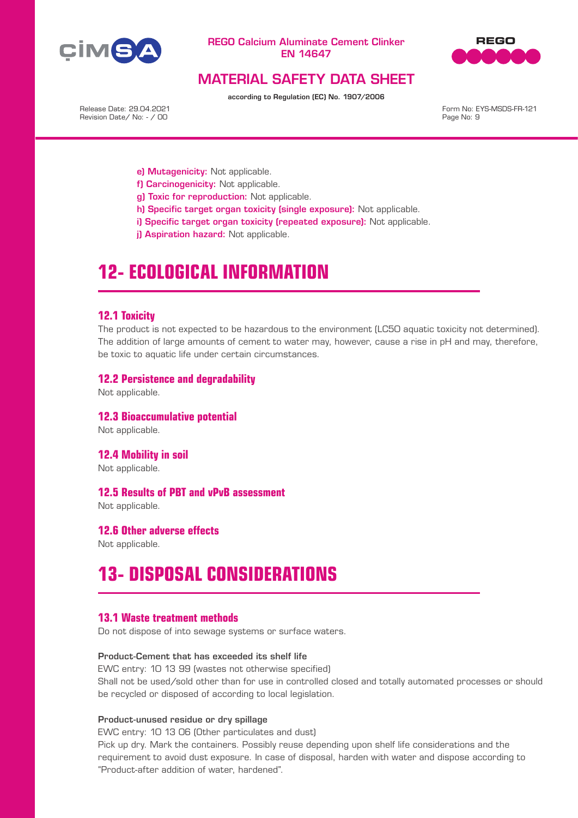



# MATERIAL SAFETY DATA SHEET

according to Regulation (EC) No. 1907/2006

Release Date: 29.04.2021 Revision Date/ No: - / 00

Form No: EYS-MSDS-FR-121 Page No: 9

- e) Mutagenicity: Not applicable.
- f) Carcinogenicity: Not applicable.
- g) Toxic for reproduction: Not applicable.
- h) Specific target organ toxicity (single exposure): Not applicable.
- i) Specific target organ toxicity (repeated exposure): Not applicable.
- il Aspiration hazard: Not applicable.

# **12- ECOLOGICAL INFORMATION**

### **12.1 Toxicity**

The product is not expected to be hazardous to the environment (LC50 aquatic toxicity not determined). The addition of large amounts of cement to water may, however, cause a rise in pH and may, therefore, be toxic to aquatic life under certain circumstances.

### **12.2 Persistence and degradability**

Not applicable.

**12.3 Bioaccumulative potential** Not applicable.

**12.4 Mobility in soil** Not applicable.

### **12.5 Results of PBT and vPvB assessment**

Not applicable.

### **12.6 Other adverse effects**

Not applicable.

# **13- DISPOSAL CONSIDERATIONS**

### **13.1 Waste treatment methods**

Do not dispose of into sewage systems or surface waters.

#### Product-Cement that has exceeded its shelf life

EWC entry: 10 13 99 (wastes not otherwise specified) Shall not be used/sold other than for use in controlled closed and totally automated processes or should be recycled or disposed of according to local legislation.

#### Product-unused residue or dry spillage

EWC entry: 10 13 06 (Other particulates and dust)

Pick up dry. Mark the containers. Possibly reuse depending upon shelf life considerations and the requirement to avoid dust exposure. In case of disposal, harden with water and dispose according to "Product-after addition of water, hardened".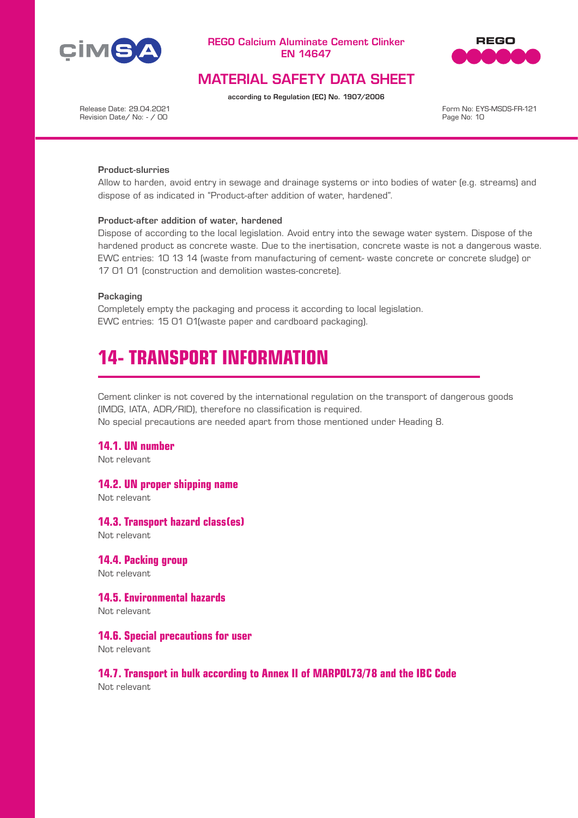



# MATERIAL SAFETY DATA SHEET

according to Regulation (EC) No. 1907/2006

Release Date: 29.04.2021 Revision Date/ No: - / 00

Form No: EYS-MSDS-FR-121 Page No: 10

### Product-slurries

Allow to harden, avoid entry in sewage and drainage systems or into bodies of water (e.g. streams) and dispose of as indicated in "Product-after addition of water, hardened".

#### Product-after addition of water, hardened

Dispose of according to the local legislation. Avoid entry into the sewage water system. Dispose of the hardened product as concrete waste. Due to the inertisation, concrete waste is not a dangerous waste. EWC entries: 10 13 14 (waste from manufacturing of cement- waste concrete or concrete sludge) or 17 01 01 (construction and demolition wastes-concrete).

### Packaging

Completely empty the packaging and process it according to local legislation. EWC entries: 15 01 01(waste paper and cardboard packaging).

# **14- TRANSPORT INFORMATION**

Cement clinker is not covered by the international regulation on the transport of dangerous goods (IMDG, IATA, ADR/RID), therefore no classification is required.

No special precautions are needed apart from those mentioned under Heading 8.

## **14.1. UN number**

Not relevant

### **14.2. UN proper shipping name**

Not relevant

### **14.3. Transport hazard class(es)**

Not relevant

### **14.4. Packing group**

Not relevant

# **14.5. Environmental hazards**

Not relevant

### **14.6. Special precautions for user**

Not relevant

# **14.7. Transport in bulk according to Annex II of MARPOL73/78 and the IBC Code**

Not relevant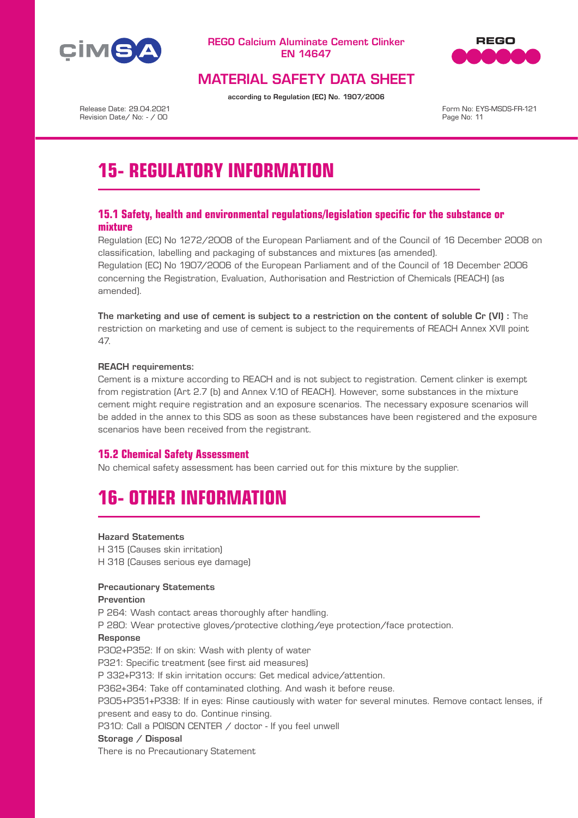



# MATERIAL SAFETY DATA SHEET

according to Regulation (EC) No. 1907/2006

Release Date: 29.04.2021 Revision Date/ No: - / 00

Form No: EYS-MSDS-FR-121 Page No: 11

# **15- REGULATORY INFORMATION**

# **15.1 Safety, health and environmental regulations/legislation specific for the substance or mixture**

Regulation (EC) No 1272/2008 of the European Parliament and of the Council of 16 December 2008 on classification, labelling and packaging of substances and mixtures (as amended). Regulation (EC) No 1907/2006 of the European Parliament and of the Council of 18 December 2006 concerning the Registration, Evaluation, Authorisation and Restriction of Chemicals (REACH) (as amended).

The marketing and use of cement is subject to a restriction on the content of soluble Cr (VI) : The restriction on marketing and use of cement is subject to the requirements of REACH Annex XVII point 47.

### REACH requirements:

Cement is a mixture according to REACH and is not subject to registration. Cement clinker is exempt from registration (Art 2.7 (b) and Annex V.10 of REACH). However, some substances in the mixture cement might require registration and an exposure scenarios. The necessary exposure scenarios will be added in the annex to this SDS as soon as these substances have been registered and the exposure scenarios have been received from the registrant.

# **15.2 Chemical Safety Assessment**

No chemical safety assessment has been carried out for this mixture by the supplier.

# **16- OTHER INFORMATION**

### Hazard Statements

H 315 (Causes skin irritation) H 318 (Causes serious eye damage)

### Precautionary Statements

#### Prevention

P 264: Wash contact areas thoroughly after handling.

P 280: Wear protective gloves/protective clothing/eye protection/face protection.

#### Response

P302+P352: If on skin: Wash with plenty of water P321: Specific treatment (see first aid measures) P 332+P313: If skin irritation occurs: Get medical advice/attention. P362+364: Take off contaminated clothing. And wash it before reuse. P305+P351+P338: If in eyes: Rinse cautiously with water for several minutes. Remove contact lenses, if present and easy to do. Continue rinsing. P310: Call a P0ISON CENTER / doctor - If you feel unwell Storage / Disposal

There is no Precautionary Statement